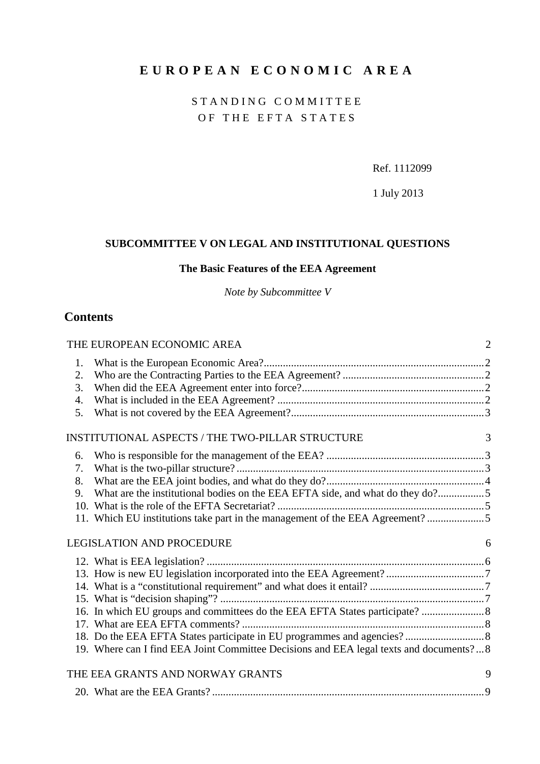# **EUROPEAN ECONOMIC AREA**

### STANDING COMMITTEE OF THE EFTA STATES

<span id="page-0-0"></span>Ref. 1112099

1 July 2013

## **SUBCOMMITTEE V ON LEGAL AND INSTITUTIONAL QUESTIONS**

### **The Basic Features of the EEA Agreement**

*Note by Subcommittee V*

### **Contents**

|                                                  | THE EUROPEAN ECONOMIC AREA                                                             | $\overline{2}$ |
|--------------------------------------------------|----------------------------------------------------------------------------------------|----------------|
| 1.                                               |                                                                                        |                |
| 2.                                               |                                                                                        |                |
| 3.                                               |                                                                                        |                |
| 4.                                               |                                                                                        |                |
| 5.                                               |                                                                                        |                |
| INSTITUTIONAL ASPECTS / THE TWO-PILLAR STRUCTURE |                                                                                        | 3              |
| 6.                                               |                                                                                        |                |
| 7.                                               |                                                                                        |                |
| 8.                                               |                                                                                        |                |
| 9.                                               | What are the institutional bodies on the EEA EFTA side, and what do they do?5          |                |
|                                                  |                                                                                        |                |
|                                                  | 11. Which EU institutions take part in the management of the EEA Agreement? 5          |                |
| <b>LEGISLATION AND PROCEDURE</b>                 |                                                                                        | 6              |
|                                                  |                                                                                        |                |
|                                                  |                                                                                        |                |
|                                                  |                                                                                        |                |
|                                                  |                                                                                        |                |
|                                                  |                                                                                        |                |
|                                                  |                                                                                        |                |
|                                                  |                                                                                        |                |
|                                                  | 19. Where can I find EEA Joint Committee Decisions and EEA legal texts and documents?8 |                |
|                                                  | THE EEA GRANTS AND NORWAY GRANTS                                                       | 9              |
|                                                  |                                                                                        |                |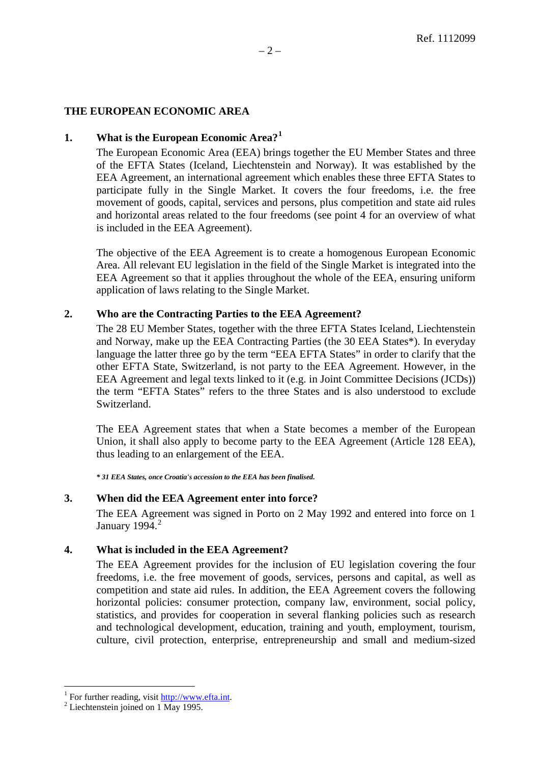#### <span id="page-1-0"></span>**THE EUROPEAN ECONOMIC AREA**

#### <span id="page-1-1"></span>**1. What is the European Economic Area?[1](#page-1-5)**

The European Economic Area (EEA) brings together the EU Member States and three of the EFTA States (Iceland, Liechtenstein and Norway). It was established by the EEA Agreement, an international agreement which enables these three EFTA States to participate fully in the Single Market. It covers the four freedoms, i.e. the free movement of goods, capital, services and persons, plus competition and state aid rules and horizontal areas related to the four freedoms (see point 4 for an overview of what is included in the EEA Agreement).

The objective of the EEA Agreement is to create a homogenous European Economic Area. All relevant EU legislation in the field of the Single Market is integrated into the EEA Agreement so that it applies throughout the whole of the EEA, ensuring uniform application of laws relating to the Single Market.

#### <span id="page-1-2"></span>**2. Who are the Contracting Parties to the EEA Agreement?**

The 28 EU Member States, together with the three EFTA States Iceland, Liechtenstein and Norway, make up the EEA Contracting Parties (the 30 EEA States\*). In everyday language the latter three go by the term "EEA EFTA States" in order to clarify that the other EFTA State, Switzerland, is not party to the EEA Agreement. However, in the EEA Agreement and legal texts linked to it (e.g. in Joint Committee Decisions (JCDs)) the term "EFTA States" refers to the three States and is also understood to exclude Switzerland.

The EEA Agreement states that when a State becomes a member of the European Union, it shall also apply to become party to the EEA Agreement (Article 128 EEA), thus leading to an enlargement of the EEA.

*\* 31 EEA States, once Croatia's accession to the EEA has been finalised.*

#### <span id="page-1-3"></span>**3. When did the EEA Agreement enter into force?**

The EEA Agreement was signed in Porto on 2 May 1992 and entered into force on 1 January 1994. $^2$  $^2$ 

#### <span id="page-1-4"></span>**4. What is included in the EEA Agreement?**

The EEA Agreement provides for the inclusion of EU legislation covering the four freedoms, i.e. the free movement of goods, services, persons and capital, as well as competition and state aid rules. In addition, the EEA Agreement covers the following horizontal policies: consumer protection, company law, environment, social policy, statistics, and provides for cooperation in several flanking policies such as research and technological development, education, training and youth, employment, tourism, culture, civil protection, enterprise, entrepreneurship and small and medium-sized

<span id="page-1-5"></span><sup>&</sup>lt;sup>1</sup> For further reading, visit  $\frac{http://www.effa.int.}{http://www.effa.int.}$ <sup>2</sup> Liechtenstein joined on 1 May 1995.

<span id="page-1-6"></span>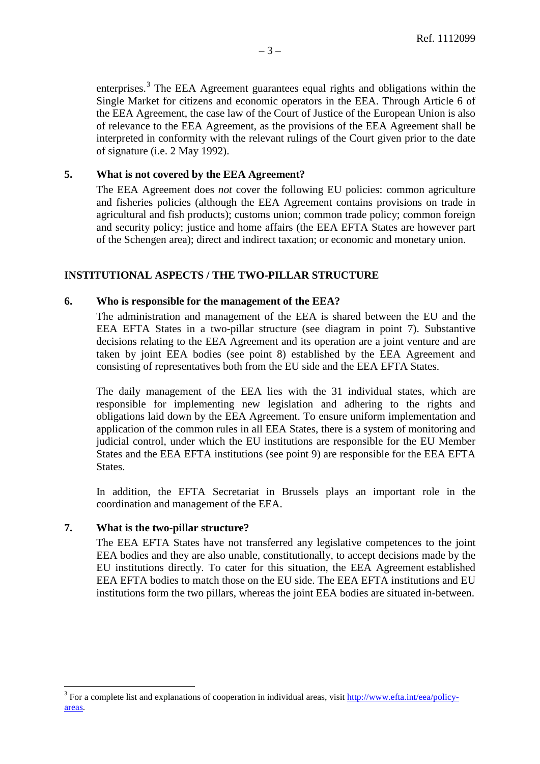enterprises.<sup>[3](#page-2-4)</sup> The EEA Agreement guarantees equal rights and obligations within the Single Market for citizens and economic operators in the EEA. Through Article 6 of the EEA Agreement, the case law of the Court of Justice of the European Union is also of relevance to the EEA Agreement, as the provisions of the EEA Agreement shall be interpreted in conformity with the relevant rulings of the Court given prior to the date of signature (i.e. 2 May 1992).

#### <span id="page-2-0"></span>**5. What is not covered by the EEA Agreement?**

The EEA Agreement does *not* cover the following EU policies: common agriculture and fisheries policies (although the EEA Agreement contains provisions on trade in agricultural and fish products); customs union; common trade policy; common foreign and security policy; justice and home affairs (the EEA EFTA States are however part of the Schengen area); direct and indirect taxation; or economic and monetary union.

#### <span id="page-2-1"></span>**INSTITUTIONAL ASPECTS / THE TWO-PILLAR STRUCTURE**

#### <span id="page-2-2"></span>**6. Who is responsible for the management of the EEA?**

The administration and management of the EEA is shared between the EU and the EEA EFTA States in a two-pillar structure (see diagram in point 7). Substantive decisions relating to the EEA Agreement and its operation are a joint venture and are taken by joint EEA bodies (see point 8) established by the EEA Agreement and consisting of representatives both from the EU side and the EEA EFTA States.

The daily management of the EEA lies with the 31 individual states, which are responsible for implementing new legislation and adhering to the rights and obligations laid down by the EEA Agreement. To ensure uniform implementation and application of the common rules in all EEA States, there is a system of monitoring and judicial control, under which the EU institutions are responsible for the EU Member States and the EEA EFTA institutions (see point 9) are responsible for the EEA EFTA States.

In addition, the EFTA Secretariat in Brussels plays an important role in the coordination and management of the EEA.

#### <span id="page-2-3"></span>**7. What is the two-pillar structure?**

The EEA EFTA States have not transferred any legislative competences to the joint EEA bodies and they are also unable, constitutionally, to accept decisions made by the EU institutions directly. To cater for this situation, the EEA Agreement established EEA EFTA bodies to match those on the EU side. The EEA EFTA institutions and EU institutions form the two pillars, whereas the joint EEA bodies are situated in-between.

<span id="page-2-4"></span><sup>&</sup>lt;sup>3</sup> For a complete list and explanations of cooperation in individual areas, visit [http://www.efta.int/eea/policy](http://www.efta.int/eea/policy-areas)[areas.](http://www.efta.int/eea/policy-areas)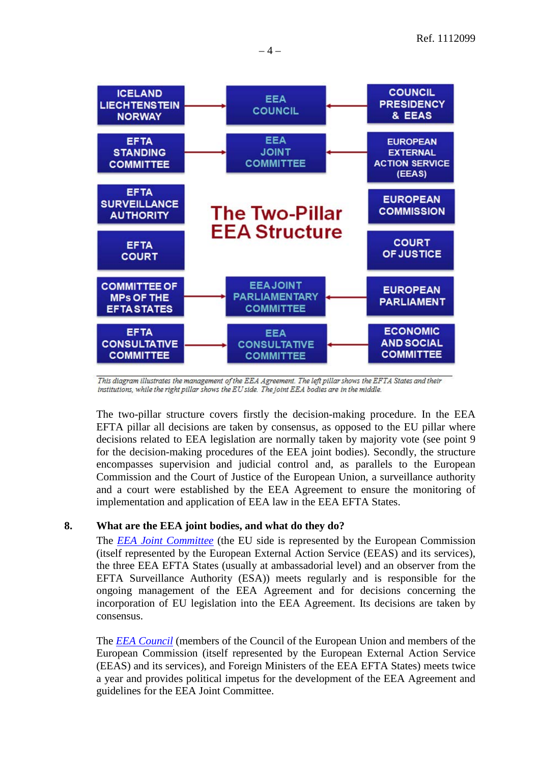

This diagram illustrates the management of the EEA Agreement. The left pillar shows the EFTA States and their institutions, while the right pillar shows the EU side. The joint EEA bodies are in the middle.

The two-pillar structure covers firstly the decision-making procedure. In the EEA EFTA pillar all decisions are taken by consensus, as opposed to the EU pillar where decisions related to EEA legislation are normally taken by majority vote (see point 9 for the decision-making procedures of the EEA joint bodies). Secondly, the structure encompasses supervision and judicial control and, as parallels to the European Commission and the Court of Justice of the European Union, a surveillance authority and a court were established by the EEA Agreement to ensure the monitoring of implementation and application of EEA law in the EEA EFTA States.

#### <span id="page-3-0"></span>**8. What are the EEA joint bodies, and what do they do?**

The *[EEA Joint Committee](http://www.efta.int/eea/eea-institutions/eea-joint-committee.aspx)* (the EU side is represented by the European Commission (itself represented by the European External Action Service (EEAS) and its services), the three EEA EFTA States (usually at ambassadorial level) and an observer from the EFTA Surveillance Authority (ESA)) meets regularly and is responsible for the ongoing management of the EEA Agreement and for decisions concerning the incorporation of EU legislation into the EEA Agreement. Its decisions are taken by consensus.

The *[EEA Council](http://www.efta.int/eea/eea-institutions/eea-council.aspx)* (members of the Council of the European Union and members of the European Commission (itself represented by the European External Action Service (EEAS) and its services), and Foreign Ministers of the EEA EFTA States) meets twice a year and provides political impetus for the development of the EEA Agreement and guidelines for the EEA Joint Committee.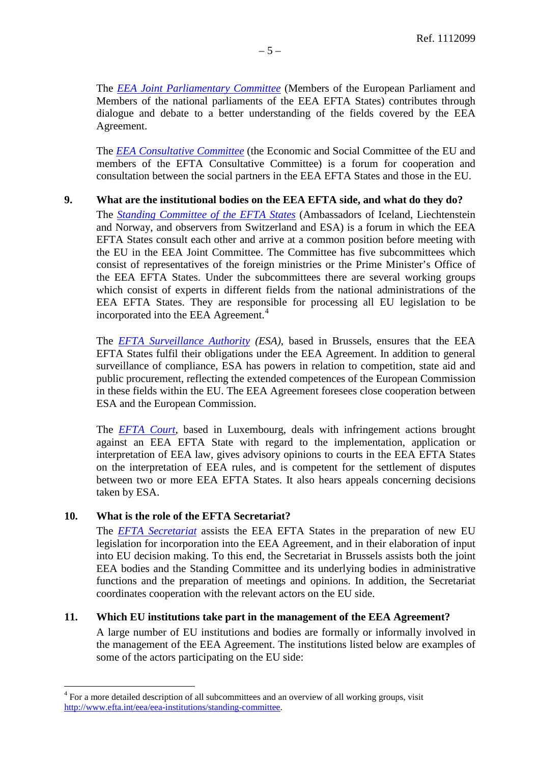The *[EEA Joint Parliamentary Committee](http://www.efta.int/eea/eea-institutions/eea-joint-parliamentary-committee.aspx)* (Members of the European Parliament and Members of the national parliaments of the EEA EFTA States) contributes through dialogue and debate to a better understanding of the fields covered by the EEA Agreement.

The *[EEA Consultative Committee](http://www.efta.int/eea/eea-institutions/eea-consultative-committee.aspx)* (the Economic and Social Committee of the EU and members of the EFTA Consultative Committee) is a forum for cooperation and consultation between the social partners in the EEA EFTA States and those in the EU.

#### <span id="page-4-0"></span>**9. What are the institutional bodies on the EEA EFTA side, and what do they do?**

The *[Standing Committee of the EFTA States](http://www.efta.int/eea/eea-institutions/standing-committee.aspx)* (Ambassadors of Iceland, Liechtenstein and Norway, and observers from Switzerland and ESA) is a forum in which the EEA EFTA States consult each other and arrive at a common position before meeting with the EU in the EEA Joint Committee. The Committee has five subcommittees which consist of representatives of the foreign ministries or the Prime Minister's Office of the EEA EFTA States. Under the subcommittees there are several working groups which consist of experts in different fields from the national administrations of the EEA EFTA States. They are responsible for processing all EU legislation to be incorporated into the EEA Agreement. [4](#page-4-3)

The *[EFTA Surveillance Authority](http://www.eftasurv.int/about-the-authority/the-authority-at-a-glance-/) (ESA)*, based in Brussels, ensures that the EEA EFTA States fulfil their obligations under the EEA Agreement. In addition to general surveillance of compliance, ESA has powers in relation to competition, state aid and public procurement, reflecting the extended competences of the European Commission in these fields within the EU. The EEA Agreement foresees close cooperation between ESA and the European Commission.

The *[EFTA Court](http://www.eftacourt.int/index.php/court/mission/introduction/)*, based in Luxembourg, deals with infringement actions brought against an EEA EFTA State with regard to the implementation, application or interpretation of EEA law, gives advisory opinions to courts in the EEA EFTA States on the interpretation of EEA rules, and is competent for the settlement of disputes between two or more EEA EFTA States. It also hears appeals concerning decisions taken by ESA.

#### <span id="page-4-1"></span>**10. What is the role of the EFTA Secretariat?**

The *[EFTA Secretariat](http://www.efta.int/about-efta/the-efta-secretariat.aspx)* assists the EEA EFTA States in the preparation of new EU legislation for incorporation into the EEA Agreement, and in their elaboration of input into EU decision making. To this end, the Secretariat in Brussels assists both the joint EEA bodies and the Standing Committee and its underlying bodies in administrative functions and the preparation of meetings and opinions. In addition, the Secretariat coordinates cooperation with the relevant actors on the EU side.

#### <span id="page-4-2"></span>**11. Which EU institutions take part in the management of the EEA Agreement?**

A large number of EU institutions and bodies are formally or informally involved in the management of the EEA Agreement. The institutions listed below are examples of some of the actors participating on the EU side:

<span id="page-4-3"></span> <sup>4</sup> For a more detailed description of all subcommittees and an overview of all working groups, visit [http://www.efta.int/eea/eea-institutions/standing-committee.](http://www.efta.int/eea/eea-institutions/standing-committee)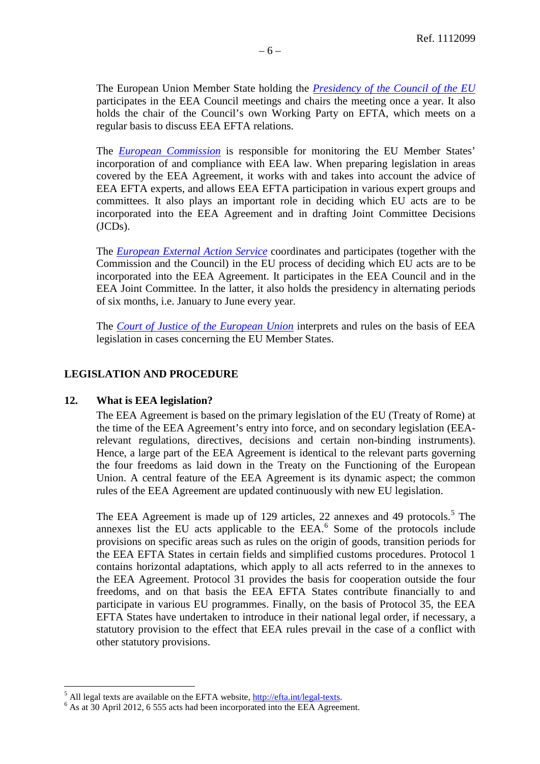The European Union Member State holding the *[Presidency of the Council of the EU](http://www.consilium.europa.eu/council/what-is-the-presidency?lang=en)* participates in the EEA Council meetings and chairs the meeting once a year. It also holds the chair of the Council's own Working Party on EFTA, which meets on a regular basis to discuss EEA EFTA relations.

The *European [Commission](http://ec.europa.eu/index_en.htm)* is responsible for monitoring the EU Member States' incorporation of and compliance with EEA law. When preparing legislation in areas covered by the EEA Agreement, it works with and takes into account the advice of EEA EFTA experts, and allows EEA EFTA participation in various expert groups and committees. It also plays an important role in deciding which EU acts are to be incorporated into the EEA Agreement and in drafting Joint Committee Decisions (JCDs).

The *[European External Action Service](http://www.eeas.europa.eu/favicon.ico)* coordinates and participates (together with the Commission and the Council) in the EU process of deciding which EU acts are to be incorporated into the EEA Agreement. It participates in the EEA Council and in the EEA Joint Committee. In the latter, it also holds the presidency in alternating periods of six months, i.e. January to June every year.

The *[Court of Justice of the European](http://curia.europa.eu/) Union* interprets and rules on the basis of EEA legislation in cases concerning the EU Member States.

#### <span id="page-5-0"></span>**LEGISLATION AND PROCEDURE**

#### <span id="page-5-1"></span>**12. What is EEA legislation?**

The EEA Agreement is based on the primary legislation of the EU (Treaty of Rome) at the time of the EEA Agreement's entry into force, and on secondary legislation (EEArelevant regulations, directives, decisions and certain non-binding instruments). Hence, a large part of the EEA Agreement is identical to the relevant parts governing the four freedoms as laid down in the Treaty on the Functioning of the European Union. A central feature of the EEA Agreement is its dynamic aspect; the common rules of the EEA Agreement are updated continuously with new EU legislation.

The EEA Agreement is made up of 129 articles, 22 annexes and 49 protocols.<sup>[5](#page-5-2)</sup> The annexes list the EU acts applicable to the EEA. [6](#page-5-3) Some of the protocols include provisions on specific areas such as rules on the origin of goods, transition periods for the EEA EFTA States in certain fields and simplified customs procedures. Protocol 1 contains horizontal adaptations, which apply to all acts referred to in the annexes to the EEA Agreement. Protocol 31 provides the basis for cooperation outside the four freedoms, and on that basis the EEA EFTA States contribute financially to and participate in various EU programmes. Finally, on the basis of Protocol 35, the EEA EFTA States have undertaken to introduce in their national legal order, if necessary, a statutory provision to the effect that EEA rules prevail in the case of a conflict with other statutory provisions.

<span id="page-5-2"></span> $^5$  All legal texts are available on the EFTA website,  $\frac{http://effa.int/legal-texts}{http://effa.int/legal-texts}$ .  $^6$  As at 30 April 2012, 6 555 acts had been incorporated into the EEA Agreement.

<span id="page-5-3"></span>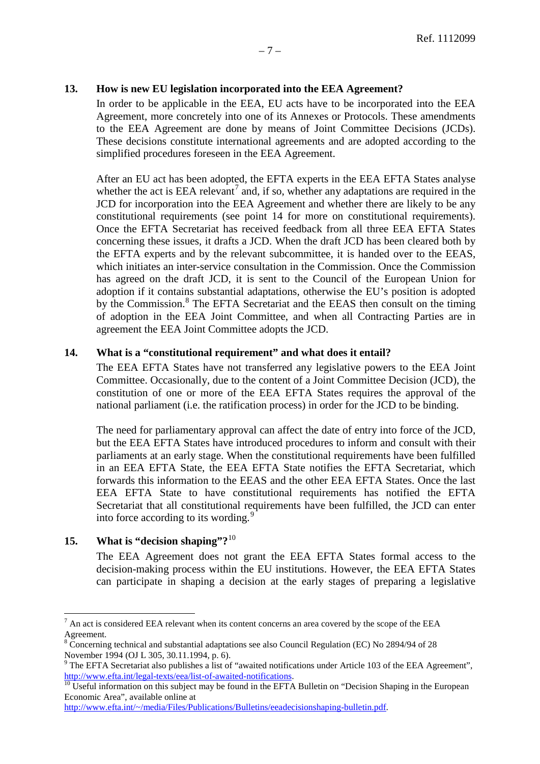#### <span id="page-6-0"></span>**13. How is new EU legislation incorporated into the EEA Agreement?**

In order to be applicable in the EEA, EU acts have to be incorporated into the EEA Agreement, more concretely into one of its Annexes or Protocols. These amendments to the EEA Agreement are done by means of Joint Committee Decisions (JCDs). These decisions constitute international agreements and are adopted according to the simplified procedures foreseen in the EEA Agreement.

After an EU act has been adopted, the EFTA experts in the EEA EFTA States analyse whether the act is EEA relevant<sup>[7](#page-6-3)</sup> and, if so, whether any adaptations are required in the JCD for incorporation into the EEA Agreement and whether there are likely to be any constitutional requirements (see point 14 for more on constitutional requirements). Once the EFTA Secretariat has received feedback from all three EEA EFTA States concerning these issues, it drafts a JCD. When the draft JCD has been cleared both by the EFTA experts and by the relevant subcommittee, it is handed over to the EEAS, which initiates an inter-service consultation in the Commission. Once the Commission has agreed on the draft JCD, it is sent to the Council of the European Union for adoption if it contains substantial adaptations, otherwise the EU's position is adopted by the Commission.<sup>[8](#page-6-4)</sup> The EFTA Secretariat and the EEAS then consult on the timing of adoption in the EEA Joint Committee, and when all Contracting Parties are in agreement the EEA Joint Committee adopts the JCD.

#### <span id="page-6-1"></span>**14. What is a "constitutional requirement" and what does it entail?**

The EEA EFTA States have not transferred any legislative powers to the EEA Joint Committee. Occasionally, due to the content of a Joint Committee Decision (JCD), the constitution of one or more of the EEA EFTA States requires the approval of the national parliament (i.e. the ratification process) in order for the JCD to be binding.

The need for parliamentary approval can affect the date of entry into force of the JCD, but the EEA EFTA States have introduced procedures to inform and consult with their parliaments at an early stage. When the constitutional requirements have been fulfilled in an EEA EFTA State, the EEA EFTA State notifies the EFTA Secretariat, which forwards this information to the EEAS and the other EEA EFTA States. Once the last EEA EFTA State to have constitutional requirements has notified the EFTA Secretariat that all constitutional requirements have been fulfilled, the JCD can enter into force according to its wording.<sup>[9](#page-6-5)</sup>

#### <span id="page-6-2"></span>**15. What is "decision shaping"?**[10](#page-6-6)

The EEA Agreement does not grant the EEA EFTA States formal access to the decision-making process within the EU institutions. However, the EEA EFTA States can participate in shaping a decision at the early stages of preparing a legislative

<span id="page-6-3"></span> $<sup>7</sup>$  An act is considered EEA relevant when its content concerns an area covered by the scope of the EEA</sup> Agreement.

<span id="page-6-4"></span><sup>&</sup>lt;sup>8</sup> Concerning technical and substantial adaptations see also Council Regulation (EC) No 2894/94 of 28 November 1994 (OJ L 305, 30.11.1994, p. 6).

<span id="page-6-5"></span><sup>&</sup>lt;sup>9</sup> The EFTA Secretariat also publishes a list of "awaited notifications under Article 103 of the EEA Agreement", [http://www.efta.int/legal-texts/eea/list-of-awaited-notifications.](http://www.efta.int/legal-texts/eea/list-of-awaited-notifications)<br><sup>10</sup> Useful information on this subject may be found in the EFTA Bulletin on "Decision Shaping in the European

<span id="page-6-6"></span>Economic Area", available online at

[http://www.efta.int/~/media/Files/Publications/Bulletins/eeadecisionshaping-bulletin.pdf.](http://www.efta.int/~/media/Files/Publications/Bulletins/eeadecisionshaping-bulletin.pdf)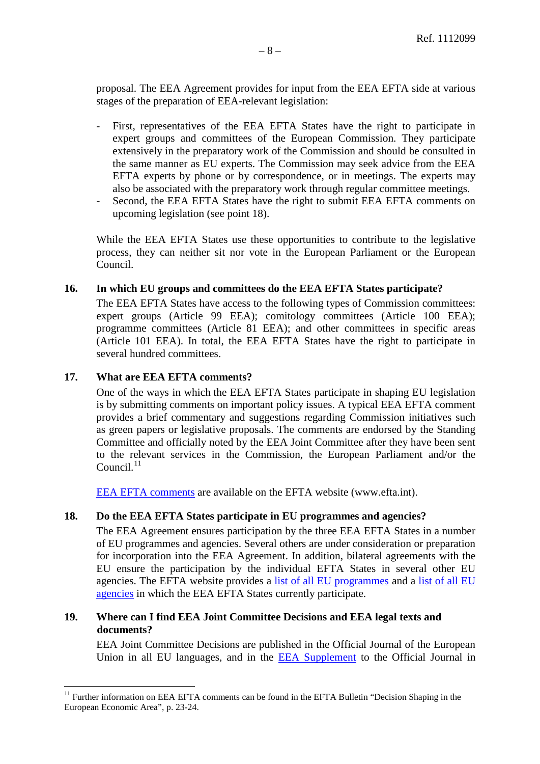proposal. The EEA Agreement provides for input from the EEA EFTA side at various stages of the preparation of EEA-relevant legislation:

- First, representatives of the EEA EFTA States have the right to participate in expert groups and committees of the European Commission. They participate extensively in the preparatory work of the Commission and should be consulted in the same manner as EU experts. The Commission may seek advice from the EEA EFTA experts by phone or by correspondence, or in meetings. The experts may also be associated with the preparatory work through regular committee meetings.
- Second, the EEA EFTA States have the right to submit EEA EFTA comments on upcoming legislation (see point 18).

While the EEA EFTA States use these opportunities to contribute to the legislative process, they can neither sit nor vote in the European Parliament or the European Council.

#### <span id="page-7-0"></span>**16. In which EU groups and committees do the EEA EFTA States participate?**

The EEA EFTA States have access to the following types of Commission committees: expert groups (Article 99 EEA); comitology committees (Article 100 EEA); programme committees (Article 81 EEA); and other committees in specific areas (Article 101 EEA). In total, the EEA EFTA States have the right to participate in several hundred committees.

#### <span id="page-7-1"></span>**17. What are EEA EFTA comments?**

One of the ways in which the EEA EFTA States participate in shaping EU legislation is by submitting comments on important policy issues. A typical EEA EFTA comment provides a brief commentary and suggestions regarding Commission initiatives such as green papers or legislative proposals. The comments are endorsed by the Standing Committee and officially noted by the EEA Joint Committee after they have been sent to the relevant services in the Commission, the European Parliament and/or the  $Count<sup>11</sup>$  $Count<sup>11</sup>$  $Count<sup>11</sup>$ 

[EEA EFTA comments](http://www.efta.int/eea/eea-efta-comments.aspx) are available on the EFTA website (www.efta.int).

#### <span id="page-7-2"></span>**18. Do the EEA EFTA States participate in EU programmes and agencies?**

The EEA Agreement ensures participation by the three EEA EFTA States in a number of EU programmes and agencies. Several others are under consideration or preparation for incorporation into the EEA Agreement. In addition, bilateral agreements with the EU ensure the participation by the individual EFTA States in several other EU agencies. The EFTA website provides a [list of all EU programmes](http://www.efta.int/eea/eu-programmes.aspx) and a [list of all EU](http://www.efta.int/eea/eu-agencies.aspx)  [agencies](http://www.efta.int/eea/eu-agencies.aspx) in which the EEA EFTA States currently participate.

#### <span id="page-7-3"></span>**19. Where can I find EEA Joint Committee Decisions and EEA legal texts and documents?**

EEA Joint Committee Decisions are published in the Official Journal of the European Union in all EU languages, and in the [EEA Supplement](http://www.efta.int/publications/eea-supplements.aspx) to the Official Journal in

<span id="page-7-4"></span><sup>&</sup>lt;sup>11</sup> Further information on EEA EFTA comments can be found in the EFTA Bulletin "Decision Shaping in the European Economic Area", p. 23-24.